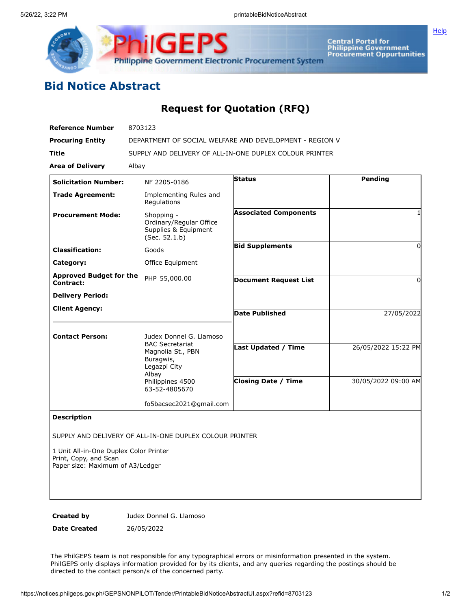

## **Bid Notice Abstract**

## **Request for Quotation (RFQ)**

| <b>Reference Number</b>                                                                             | 8703123                                                                                                                                           |                              |                     |
|-----------------------------------------------------------------------------------------------------|---------------------------------------------------------------------------------------------------------------------------------------------------|------------------------------|---------------------|
| <b>Procuring Entity</b>                                                                             | DEPARTMENT OF SOCIAL WELFARE AND DEVELOPMENT - REGION V                                                                                           |                              |                     |
| Title                                                                                               | SUPPLY AND DELIVERY OF ALL-IN-ONE DUPLEX COLOUR PRINTER                                                                                           |                              |                     |
| <b>Area of Delivery</b>                                                                             | Albay                                                                                                                                             |                              |                     |
| <b>Solicitation Number:</b>                                                                         | NF 2205-0186                                                                                                                                      | <b>Status</b>                | Pending             |
| <b>Trade Agreement:</b>                                                                             | Implementing Rules and<br>Regulations                                                                                                             |                              |                     |
| <b>Procurement Mode:</b>                                                                            | Shopping -<br>Ordinary/Regular Office<br>Supplies & Equipment<br>(Sec. 52.1.b)                                                                    | <b>Associated Components</b> |                     |
| <b>Classification:</b>                                                                              | Goods                                                                                                                                             | <b>Bid Supplements</b>       | 0                   |
| Category:                                                                                           | Office Equipment                                                                                                                                  |                              |                     |
| <b>Approved Budget for the</b><br>Contract:                                                         | PHP 55,000.00                                                                                                                                     | <b>Document Request List</b> | 0                   |
| <b>Delivery Period:</b>                                                                             |                                                                                                                                                   |                              |                     |
| <b>Client Agency:</b>                                                                               |                                                                                                                                                   | <b>Date Published</b>        | 27/05/2022          |
| <b>Contact Person:</b>                                                                              | Judex Donnel G. Llamoso<br><b>BAC Secretariat</b><br>Magnolia St., PBN<br>Buragwis,<br>Legazpi City<br>Albay<br>Philippines 4500<br>63-52-4805670 | Last Updated / Time          | 26/05/2022 15:22 PM |
|                                                                                                     |                                                                                                                                                   | <b>Closing Date / Time</b>   | 30/05/2022 09:00 AM |
|                                                                                                     | fo5bacsec2021@gmail.com                                                                                                                           |                              |                     |
| <b>Description</b>                                                                                  |                                                                                                                                                   |                              |                     |
|                                                                                                     | SUPPLY AND DELIVERY OF ALL-IN-ONE DUPLEX COLOUR PRINTER                                                                                           |                              |                     |
| 1 Unit All-in-One Duplex Color Printer<br>Print, Copy, and Scan<br>Paper size: Maximum of A3/Ledger |                                                                                                                                                   |                              |                     |
| Created by                                                                                          | Judex Donnel G. Llamoso                                                                                                                           |                              |                     |

**Date Created** 26/05/2022

The PhilGEPS team is not responsible for any typographical errors or misinformation presented in the system. PhilGEPS only displays information provided for by its clients, and any queries regarding the postings should be directed to the contact person/s of the concerned party.